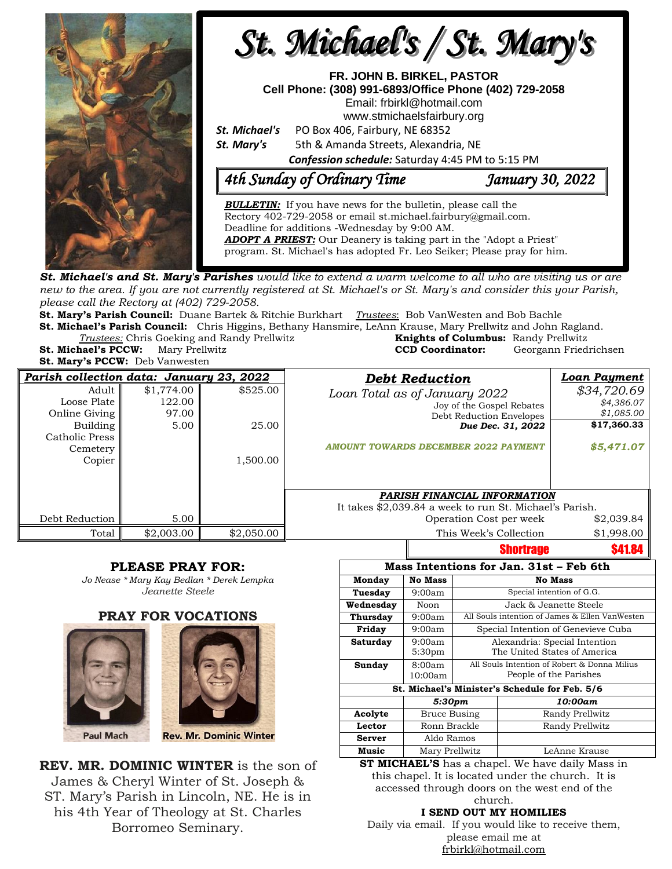

**St. Michael's and St. Mary's Parishes** would like to extend a warm welcome to all who are visiting us or are new to the area. If you are not currently registered at St. Michael's or St. Mary's and consider this your Parish, *please call the Rectory at (402) 729-2058.* 

**St. Mary's Parish Council:** Duane Bartek & Ritchie Burkhart *Trustees*: Bob VanWesten and Bob Bachle

**St. Michael's Parish Council:** Chris Higgins, Bethany Hansmire, LeAnn Krause, Mary Prellwitz and John Ragland. **Trustees:** Chris Goeking and Randy Prellwitz **St. Michael's PCCW:** Mary Prellwitz **CCD Coordinator:** Georgann Friedrichsen

**St. Mary's PCCW:** Deb Vanwesten

| <b>Knights of Columbus:</b> Randy Prellwitz |                     |  |  |
|---------------------------------------------|---------------------|--|--|
| <b>CCD Coordinator:</b>                     | Georgann Friedrichs |  |  |
|                                             |                     |  |  |

| Parish collection data: January 23, 2022 |            |            |                                                         | <b>Debt Reduction</b>                       | <b>Loan Payment</b> |
|------------------------------------------|------------|------------|---------------------------------------------------------|---------------------------------------------|---------------------|
| Adult                                    | \$1,774.00 | \$525.00   |                                                         | Loan Total as of January 2022               | \$34,720.69         |
| Loose Plate                              | 122.00     |            |                                                         | Joy of the Gospel Rebates                   | \$4,386.07          |
| Online Giving                            | 97.00      |            |                                                         | Debt Reduction Envelopes                    | \$1,085.00          |
| Building                                 | 5.00       | 25.00      |                                                         | Due Dec. 31, 2022                           | \$17,360.33         |
| Catholic Press                           |            |            |                                                         |                                             |                     |
| Cemetery                                 |            |            |                                                         | <b>AMOUNT TOWARDS DECEMBER 2022 PAYMENT</b> | \$5,471.07          |
| Copier                                   |            | 1,500.00   |                                                         |                                             |                     |
|                                          |            |            |                                                         |                                             |                     |
|                                          |            |            |                                                         |                                             |                     |
|                                          |            |            | <b>PARISH FINANCIAL INFORMATION</b>                     |                                             |                     |
|                                          |            |            | It takes \$2,039.84 a week to run St. Michael's Parish. |                                             |                     |
| Debt Reduction                           | 5.00       |            |                                                         | Operation Cost per week                     | \$2,039.84          |
| Total                                    | \$2,003.00 | \$2,050.00 |                                                         | This Week's Collection                      | \$1,998.00          |
|                                          |            |            |                                                         | Chartrono                                   | <b>CA1 QA</b>       |

#### **PLEASE PRAY FOR:**

*Jo Nease \* Mary Kay Bedlan \* Derek Lempka Jeanette Steele*

#### **PRAY FOR VOCATIONS**





**REV. MR. DOMINIC WINTER** is the son of James & Cheryl Winter of St. Joseph & ST. Mary's Parish in Lincoln, NE. He is in his 4th Year of Theology at St. Charles Borromeo Seminary.

|                                                                             | vnvi u ugu                   |                                                                        |                 |  |  |  |  |
|-----------------------------------------------------------------------------|------------------------------|------------------------------------------------------------------------|-----------------|--|--|--|--|
| Mass Intentions for Jan. 31st – Feb 6th                                     |                              |                                                                        |                 |  |  |  |  |
| Monday                                                                      | <b>No Mass</b>               | <b>No Mass</b>                                                         |                 |  |  |  |  |
| Tuesday                                                                     | 9:00am                       | Special intention of G.G.                                              |                 |  |  |  |  |
| Wednesday                                                                   | Noon                         | Jack & Jeanette Steele.                                                |                 |  |  |  |  |
| Thursday                                                                    | 9:00am                       | All Souls intention of James & Ellen VanWesten                         |                 |  |  |  |  |
| Friday                                                                      | 9:00am                       | Special Intention of Genevieve Cuba                                    |                 |  |  |  |  |
| Saturday                                                                    | 9:00am<br>5:30 <sub>pm</sub> | Alexandria: Special Intention<br>The United States of America          |                 |  |  |  |  |
| Sunday                                                                      | 8:00am<br>10:00am            | All Souls Intention of Robert & Donna Milius<br>People of the Parishes |                 |  |  |  |  |
| St. Michael's Minister's Schedule for Feb. 5/6                              |                              |                                                                        |                 |  |  |  |  |
|                                                                             | 5:30pm                       |                                                                        | 10:00am         |  |  |  |  |
| Acolyte                                                                     | Bruce Busing                 |                                                                        | Randy Prellwitz |  |  |  |  |
| Lector                                                                      | Ronn Brackle                 |                                                                        | Randy Prellwitz |  |  |  |  |
| Server                                                                      | Aldo Ramos                   |                                                                        |                 |  |  |  |  |
| Music                                                                       | Mary Prellwitz               |                                                                        | LeAnne Krause   |  |  |  |  |
| $CP$ MICHAEL'S $\log_{10}$ above $\frac{1 \text{ W}}{2}$ have deity Mass in |                              |                                                                        |                 |  |  |  |  |

Shortrage \$41.84

**ST MICHAEL'S** has a chapel. We have daily Mass in this chapel. It is located under the church. It is accessed through doors on the west end of the church.

#### **I SEND OUT MY HOMILIES**

Daily via email. If you would like to receive them, please email me at [frbirkl@hotmail.com](mailto:frbirkl@hotmail.com)